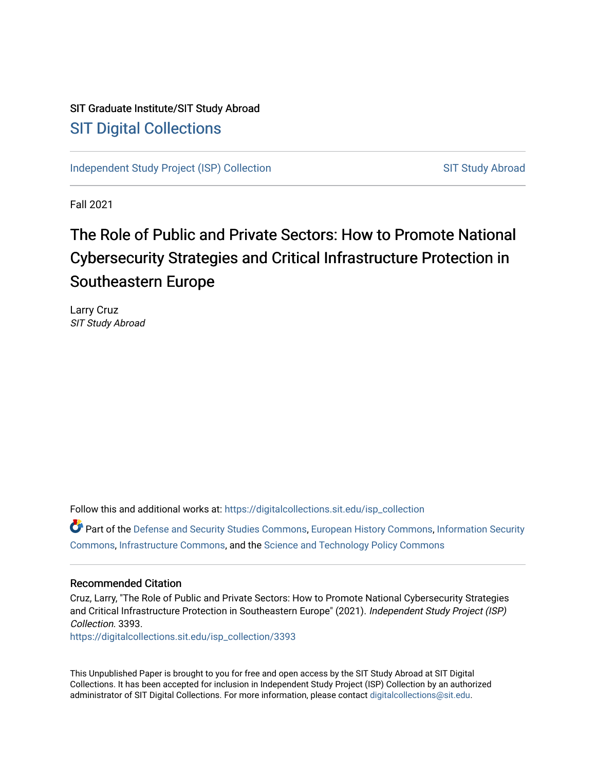## SIT Graduate Institute/SIT Study Abroad [SIT Digital Collections](https://digitalcollections.sit.edu/)

[Independent Study Project \(ISP\) Collection](https://digitalcollections.sit.edu/isp_collection) [SIT Study Abroad](https://digitalcollections.sit.edu/study_abroad) SIT Study Abroad

Fall 2021

# The Role of Public and Private Sectors: How to Promote National Cybersecurity Strategies and Critical Infrastructure Protection in Southeastern Europe

Larry Cruz SIT Study Abroad

Follow this and additional works at: [https://digitalcollections.sit.edu/isp\\_collection](https://digitalcollections.sit.edu/isp_collection?utm_source=digitalcollections.sit.edu%2Fisp_collection%2F3393&utm_medium=PDF&utm_campaign=PDFCoverPages) 

Part of the [Defense and Security Studies Commons](http://network.bepress.com/hgg/discipline/394?utm_source=digitalcollections.sit.edu%2Fisp_collection%2F3393&utm_medium=PDF&utm_campaign=PDFCoverPages), [European History Commons,](http://network.bepress.com/hgg/discipline/492?utm_source=digitalcollections.sit.edu%2Fisp_collection%2F3393&utm_medium=PDF&utm_campaign=PDFCoverPages) [Information Security](http://network.bepress.com/hgg/discipline/1247?utm_source=digitalcollections.sit.edu%2Fisp_collection%2F3393&utm_medium=PDF&utm_campaign=PDFCoverPages) [Commons](http://network.bepress.com/hgg/discipline/1247?utm_source=digitalcollections.sit.edu%2Fisp_collection%2F3393&utm_medium=PDF&utm_campaign=PDFCoverPages), [Infrastructure Commons](http://network.bepress.com/hgg/discipline/1066?utm_source=digitalcollections.sit.edu%2Fisp_collection%2F3393&utm_medium=PDF&utm_campaign=PDFCoverPages), and the [Science and Technology Policy Commons](http://network.bepress.com/hgg/discipline/1029?utm_source=digitalcollections.sit.edu%2Fisp_collection%2F3393&utm_medium=PDF&utm_campaign=PDFCoverPages) 

#### Recommended Citation

Cruz, Larry, "The Role of Public and Private Sectors: How to Promote National Cybersecurity Strategies and Critical Infrastructure Protection in Southeastern Europe" (2021). Independent Study Project (ISP) Collection. 3393.

[https://digitalcollections.sit.edu/isp\\_collection/3393](https://digitalcollections.sit.edu/isp_collection/3393?utm_source=digitalcollections.sit.edu%2Fisp_collection%2F3393&utm_medium=PDF&utm_campaign=PDFCoverPages) 

This Unpublished Paper is brought to you for free and open access by the SIT Study Abroad at SIT Digital Collections. It has been accepted for inclusion in Independent Study Project (ISP) Collection by an authorized administrator of SIT Digital Collections. For more information, please contact [digitalcollections@sit.edu](mailto:digitalcollections@sit.edu).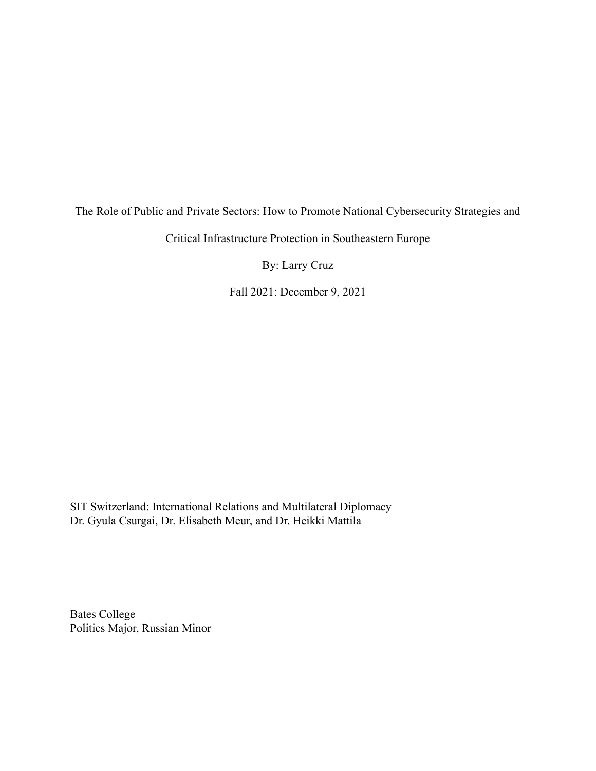# The Role of Public and Private Sectors: How to Promote National Cybersecurity Strategies and

Critical Infrastructure Protection in Southeastern Europe

By: Larry Cruz

Fall 2021: December 9, 2021

SIT Switzerland: International Relations and Multilateral Diplomacy Dr. Gyula Csurgai, Dr. Elisabeth Meur, and Dr. Heikki Mattila

Bates College Politics Major, Russian Minor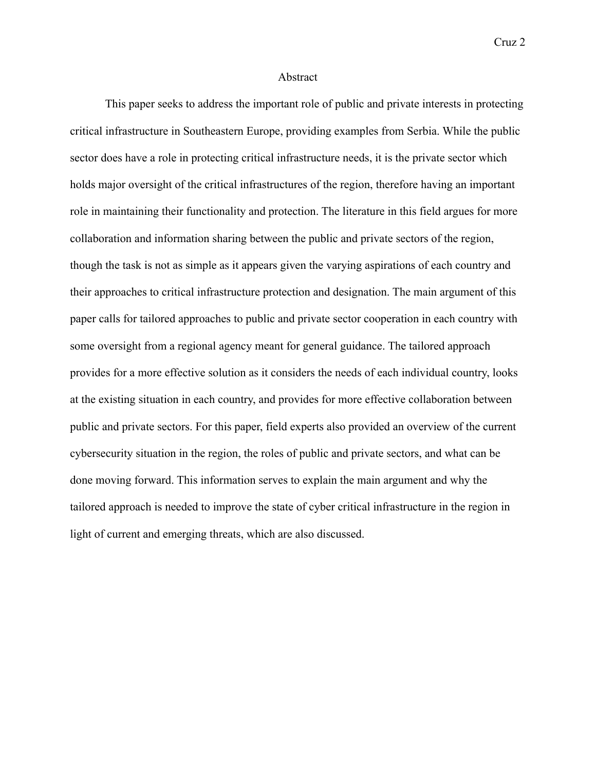#### Abstract

This paper seeks to address the important role of public and private interests in protecting critical infrastructure in Southeastern Europe, providing examples from Serbia. While the public sector does have a role in protecting critical infrastructure needs, it is the private sector which holds major oversight of the critical infrastructures of the region, therefore having an important role in maintaining their functionality and protection. The literature in this field argues for more collaboration and information sharing between the public and private sectors of the region, though the task is not as simple as it appears given the varying aspirations of each country and their approaches to critical infrastructure protection and designation. The main argument of this paper calls for tailored approaches to public and private sector cooperation in each country with some oversight from a regional agency meant for general guidance. The tailored approach provides for a more effective solution as it considers the needs of each individual country, looks at the existing situation in each country, and provides for more effective collaboration between public and private sectors. For this paper, field experts also provided an overview of the current cybersecurity situation in the region, the roles of public and private sectors, and what can be done moving forward. This information serves to explain the main argument and why the tailored approach is needed to improve the state of cyber critical infrastructure in the region in light of current and emerging threats, which are also discussed.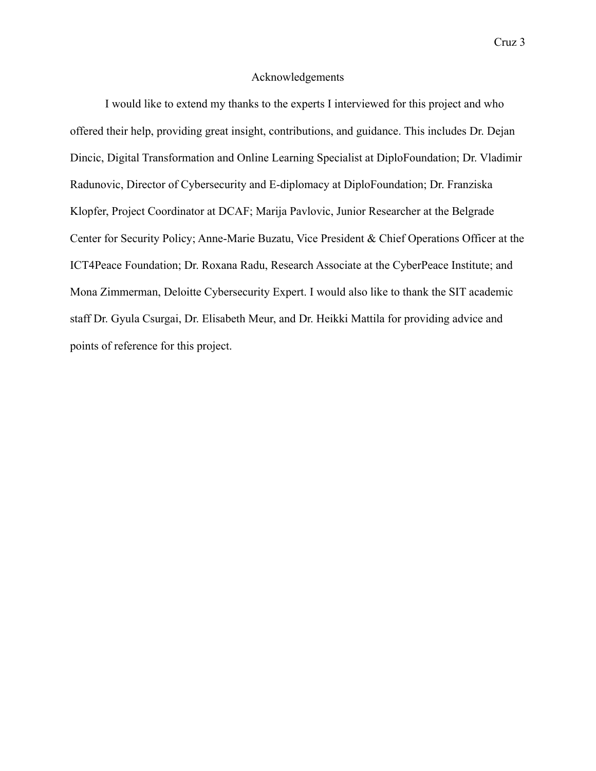#### Acknowledgements

I would like to extend my thanks to the experts I interviewed for this project and who offered their help, providing great insight, contributions, and guidance. This includes Dr. Dejan Dincic, Digital Transformation and Online Learning Specialist at DiploFoundation; Dr. Vladimir Radunovic, Director of Cybersecurity and E-diplomacy at DiploFoundation; Dr. Franziska Klopfer, Project Coordinator at DCAF; Marija Pavlovic, Junior Researcher at the Belgrade Center for Security Policy; Anne-Marie Buzatu, Vice President & Chief Operations Officer at the ICT4Peace Foundation; Dr. Roxana Radu, Research Associate at the CyberPeace Institute; and Mona Zimmerman, Deloitte Cybersecurity Expert. I would also like to thank the SIT academic staff Dr. Gyula Csurgai, Dr. Elisabeth Meur, and Dr. Heikki Mattila for providing advice and points of reference for this project.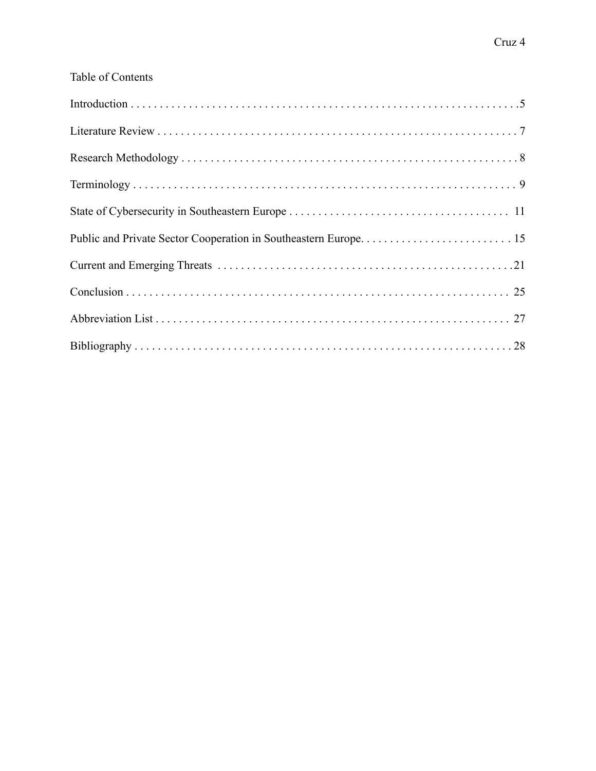### Table of Contents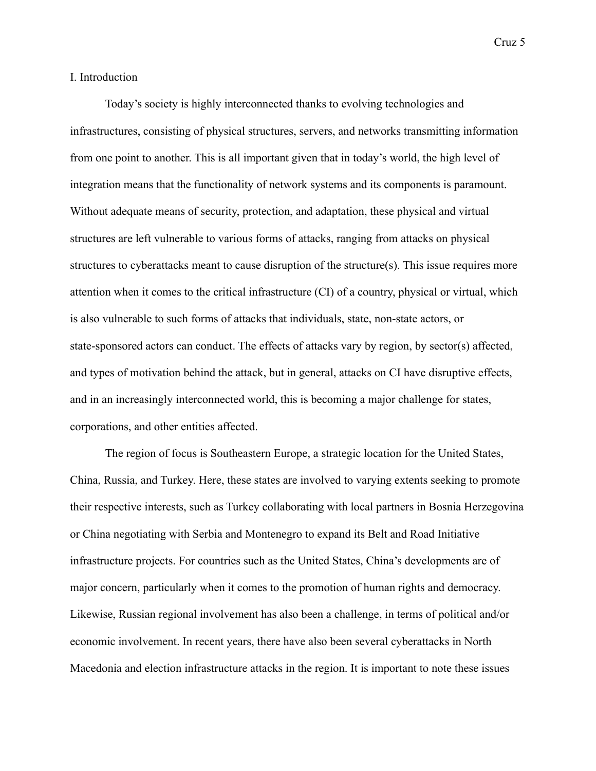#### I. Introduction

Today's society is highly interconnected thanks to evolving technologies and infrastructures, consisting of physical structures, servers, and networks transmitting information from one point to another. This is all important given that in today's world, the high level of integration means that the functionality of network systems and its components is paramount. Without adequate means of security, protection, and adaptation, these physical and virtual structures are left vulnerable to various forms of attacks, ranging from attacks on physical structures to cyberattacks meant to cause disruption of the structure(s). This issue requires more attention when it comes to the critical infrastructure (CI) of a country, physical or virtual, which is also vulnerable to such forms of attacks that individuals, state, non-state actors, or state-sponsored actors can conduct. The effects of attacks vary by region, by sector(s) affected, and types of motivation behind the attack, but in general, attacks on CI have disruptive effects, and in an increasingly interconnected world, this is becoming a major challenge for states, corporations, and other entities affected.

The region of focus is Southeastern Europe, a strategic location for the United States, China, Russia, and Turkey. Here, these states are involved to varying extents seeking to promote their respective interests, such as Turkey collaborating with local partners in Bosnia Herzegovina or China negotiating with Serbia and Montenegro to expand its Belt and Road Initiative infrastructure projects. For countries such as the United States, China's developments are of major concern, particularly when it comes to the promotion of human rights and democracy. Likewise, Russian regional involvement has also been a challenge, in terms of political and/or economic involvement. In recent years, there have also been several cyberattacks in North Macedonia and election infrastructure attacks in the region. It is important to note these issues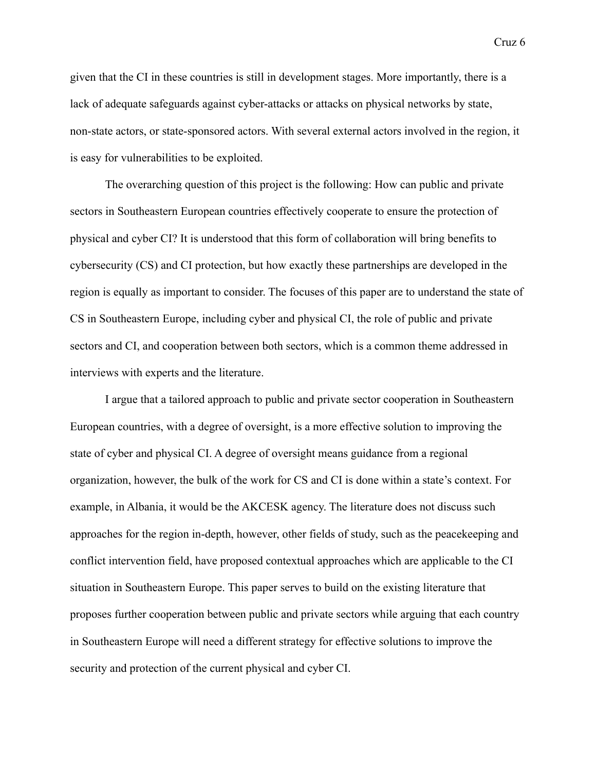given that the CI in these countries is still in development stages. More importantly, there is a lack of adequate safeguards against cyber-attacks or attacks on physical networks by state, non-state actors, or state-sponsored actors. With several external actors involved in the region, it is easy for vulnerabilities to be exploited.

The overarching question of this project is the following: How can public and private sectors in Southeastern European countries effectively cooperate to ensure the protection of physical and cyber CI? It is understood that this form of collaboration will bring benefits to cybersecurity (CS) and CI protection, but how exactly these partnerships are developed in the region is equally as important to consider. The focuses of this paper are to understand the state of CS in Southeastern Europe, including cyber and physical CI, the role of public and private sectors and CI, and cooperation between both sectors, which is a common theme addressed in interviews with experts and the literature.

I argue that a tailored approach to public and private sector cooperation in Southeastern European countries, with a degree of oversight, is a more effective solution to improving the state of cyber and physical CI. A degree of oversight means guidance from a regional organization, however, the bulk of the work for CS and CI is done within a state's context. For example, in Albania, it would be the AKCESK agency. The literature does not discuss such approaches for the region in-depth, however, other fields of study, such as the peacekeeping and conflict intervention field, have proposed contextual approaches which are applicable to the CI situation in Southeastern Europe. This paper serves to build on the existing literature that proposes further cooperation between public and private sectors while arguing that each country in Southeastern Europe will need a different strategy for effective solutions to improve the security and protection of the current physical and cyber CI.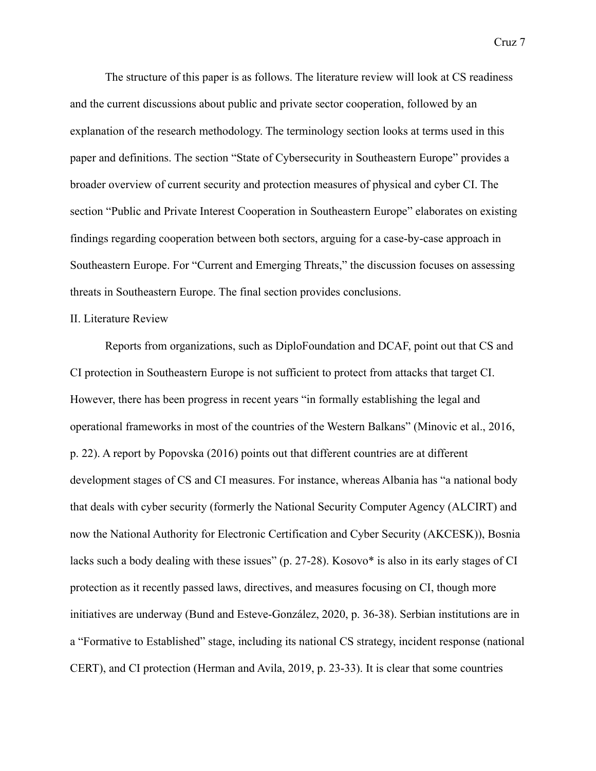The structure of this paper is as follows. The literature review will look at CS readiness and the current discussions about public and private sector cooperation, followed by an explanation of the research methodology. The terminology section looks at terms used in this paper and definitions. The section "State of Cybersecurity in Southeastern Europe" provides a broader overview of current security and protection measures of physical and cyber CI. The section "Public and Private Interest Cooperation in Southeastern Europe" elaborates on existing findings regarding cooperation between both sectors, arguing for a case-by-case approach in Southeastern Europe. For "Current and Emerging Threats," the discussion focuses on assessing threats in Southeastern Europe. The final section provides conclusions.

#### II. Literature Review

Reports from organizations, such as DiploFoundation and DCAF, point out that CS and CI protection in Southeastern Europe is not sufficient to protect from attacks that target CI. However, there has been progress in recent years "in formally establishing the legal and operational frameworks in most of the countries of the Western Balkans" (Minovic et al., 2016, p. 22). A report by Popovska (2016) points out that different countries are at different development stages of CS and CI measures. For instance, whereas Albania has "a national body that deals with cyber security (formerly the National Security Computer Agency (ALCIRT) and now the National Authority for Electronic Certification and Cyber Security (AKCESK)), Bosnia lacks such a body dealing with these issues" (p. 27-28). Kosovo\* is also in its early stages of CI protection as it recently passed laws, directives, and measures focusing on CI, though more initiatives are underway (Bund and Esteve-González, 2020, p. 36-38). Serbian institutions are in a "Formative to Established" stage, including its national CS strategy, incident response (national CERT), and CI protection (Herman and Avila, 2019, p. 23-33). It is clear that some countries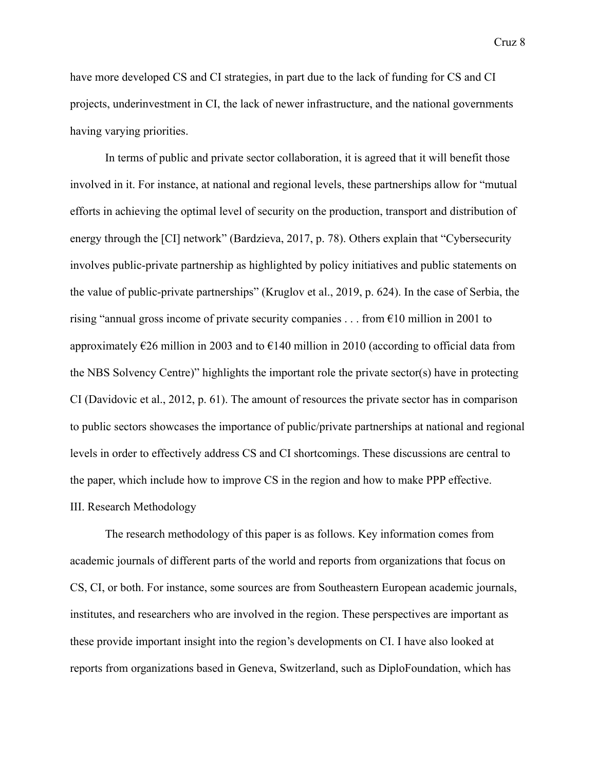have more developed CS and CI strategies, in part due to the lack of funding for CS and CI projects, underinvestment in CI, the lack of newer infrastructure, and the national governments having varying priorities.

In terms of public and private sector collaboration, it is agreed that it will benefit those involved in it. For instance, at national and regional levels, these partnerships allow for "mutual efforts in achieving the optimal level of security on the production, transport and distribution of energy through the [CI] network" (Bardzieva, 2017, p. 78). Others explain that "Cybersecurity involves public-private partnership as highlighted by policy initiatives and public statements on the value of public-private partnerships" (Kruglov et al., 2019, p. 624). In the case of Serbia, the rising "annual gross income of private security companies . . . from €10 million in 2001 to approximately  $\epsilon$ 26 million in 2003 and to  $\epsilon$ 140 million in 2010 (according to official data from the NBS Solvency Centre)" highlights the important role the private sector(s) have in protecting CI (Davidovic et al., 2012, p. 61). The amount of resources the private sector has in comparison to public sectors showcases the importance of public/private partnerships at national and regional levels in order to effectively address CS and CI shortcomings. These discussions are central to the paper, which include how to improve CS in the region and how to make PPP effective. III. Research Methodology

The research methodology of this paper is as follows. Key information comes from academic journals of different parts of the world and reports from organizations that focus on CS, CI, or both. For instance, some sources are from Southeastern European academic journals, institutes, and researchers who are involved in the region. These perspectives are important as these provide important insight into the region's developments on CI. I have also looked at reports from organizations based in Geneva, Switzerland, such as DiploFoundation, which has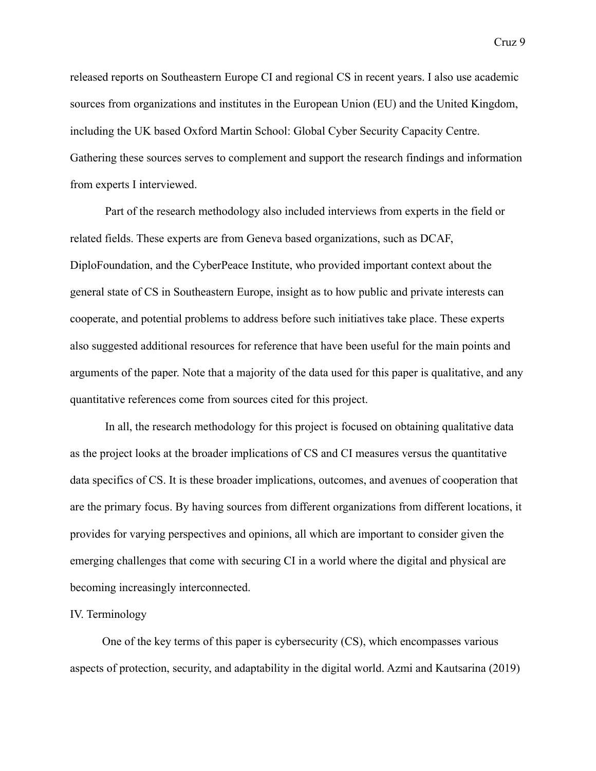released reports on Southeastern Europe CI and regional CS in recent years. I also use academic sources from organizations and institutes in the European Union (EU) and the United Kingdom, including the UK based Oxford Martin School: Global Cyber Security Capacity Centre. Gathering these sources serves to complement and support the research findings and information from experts I interviewed.

Part of the research methodology also included interviews from experts in the field or related fields. These experts are from Geneva based organizations, such as DCAF, DiploFoundation, and the CyberPeace Institute, who provided important context about the general state of CS in Southeastern Europe, insight as to how public and private interests can cooperate, and potential problems to address before such initiatives take place. These experts also suggested additional resources for reference that have been useful for the main points and arguments of the paper. Note that a majority of the data used for this paper is qualitative, and any quantitative references come from sources cited for this project.

In all, the research methodology for this project is focused on obtaining qualitative data as the project looks at the broader implications of CS and CI measures versus the quantitative data specifics of CS. It is these broader implications, outcomes, and avenues of cooperation that are the primary focus. By having sources from different organizations from different locations, it provides for varying perspectives and opinions, all which are important to consider given the emerging challenges that come with securing CI in a world where the digital and physical are becoming increasingly interconnected.

#### IV. Terminology

One of the key terms of this paper is cybersecurity (CS), which encompasses various aspects of protection, security, and adaptability in the digital world. Azmi and Kautsarina (2019)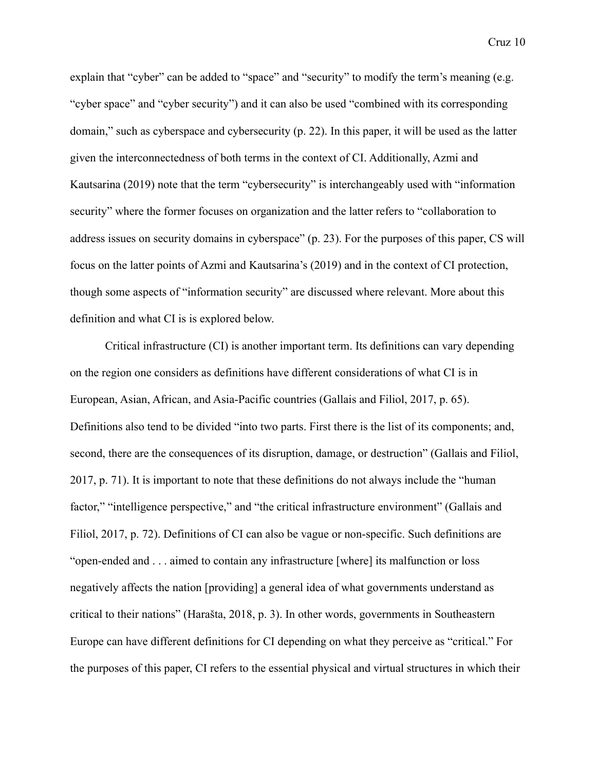explain that "cyber" can be added to "space" and "security" to modify the term's meaning (e.g. "cyber space" and "cyber security") and it can also be used "combined with its corresponding domain," such as cyberspace and cybersecurity (p. 22). In this paper, it will be used as the latter given the interconnectedness of both terms in the context of CI. Additionally, Azmi and Kautsarina (2019) note that the term "cybersecurity" is interchangeably used with "information security" where the former focuses on organization and the latter refers to "collaboration to address issues on security domains in cyberspace" (p. 23). For the purposes of this paper, CS will focus on the latter points of Azmi and Kautsarina's (2019) and in the context of CI protection, though some aspects of "information security" are discussed where relevant. More about this definition and what CI is is explored below.

Critical infrastructure (CI) is another important term. Its definitions can vary depending on the region one considers as definitions have different considerations of what CI is in European, Asian, African, and Asia-Pacific countries (Gallais and Filiol, 2017, p. 65). Definitions also tend to be divided "into two parts. First there is the list of its components; and, second, there are the consequences of its disruption, damage, or destruction" (Gallais and Filiol, 2017, p. 71). It is important to note that these definitions do not always include the "human factor," "intelligence perspective," and "the critical infrastructure environment" (Gallais and Filiol, 2017, p. 72). Definitions of CI can also be vague or non-specific. Such definitions are "open-ended and . . . aimed to contain any infrastructure [where] its malfunction or loss negatively affects the nation [providing] a general idea of what governments understand as critical to their nations" (Harašta, 2018, p. 3). In other words, governments in Southeastern Europe can have different definitions for CI depending on what they perceive as "critical." For the purposes of this paper, CI refers to the essential physical and virtual structures in which their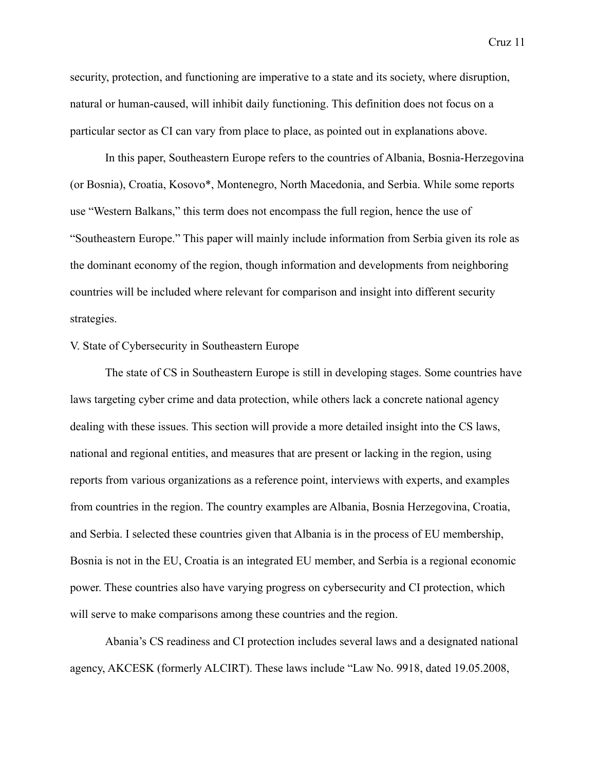security, protection, and functioning are imperative to a state and its society, where disruption, natural or human-caused, will inhibit daily functioning. This definition does not focus on a particular sector as CI can vary from place to place, as pointed out in explanations above.

In this paper, Southeastern Europe refers to the countries of Albania, Bosnia-Herzegovina (or Bosnia), Croatia, Kosovo\*, Montenegro, North Macedonia, and Serbia. While some reports use "Western Balkans," this term does not encompass the full region, hence the use of "Southeastern Europe." This paper will mainly include information from Serbia given its role as the dominant economy of the region, though information and developments from neighboring countries will be included where relevant for comparison and insight into different security strategies.

#### V. State of Cybersecurity in Southeastern Europe

The state of CS in Southeastern Europe is still in developing stages. Some countries have laws targeting cyber crime and data protection, while others lack a concrete national agency dealing with these issues. This section will provide a more detailed insight into the CS laws, national and regional entities, and measures that are present or lacking in the region, using reports from various organizations as a reference point, interviews with experts, and examples from countries in the region. The country examples are Albania, Bosnia Herzegovina, Croatia, and Serbia. I selected these countries given that Albania is in the process of EU membership, Bosnia is not in the EU, Croatia is an integrated EU member, and Serbia is a regional economic power. These countries also have varying progress on cybersecurity and CI protection, which will serve to make comparisons among these countries and the region.

Abania's CS readiness and CI protection includes several laws and a designated national agency, AKCESK (formerly ALCIRT). These laws include "Law No. 9918, dated 19.05.2008,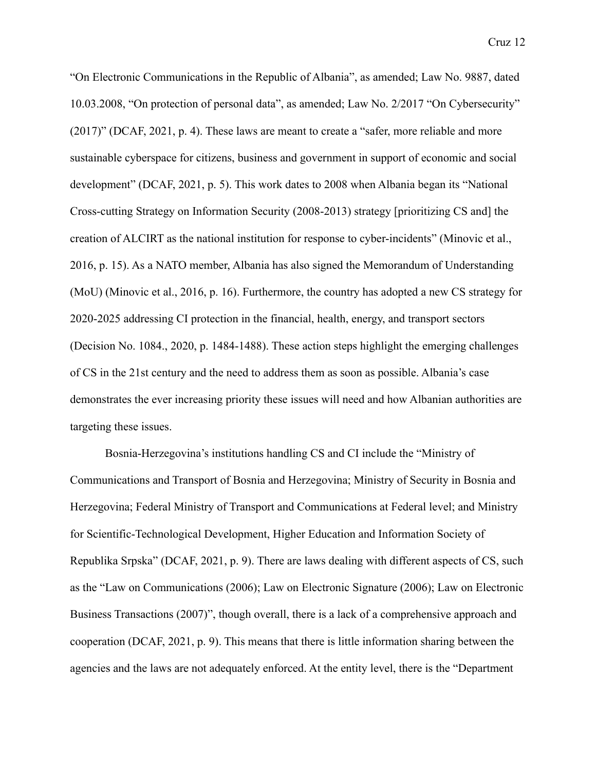"On Electronic Communications in the Republic of Albania", as amended; Law No. 9887, dated 10.03.2008, "On protection of personal data", as amended; Law No. 2/2017 "On Cybersecurity" (2017)" (DCAF, 2021, p. 4). These laws are meant to create a "safer, more reliable and more sustainable cyberspace for citizens, business and government in support of economic and social development" (DCAF, 2021, p. 5). This work dates to 2008 when Albania began its "National Cross-cutting Strategy on Information Security (2008-2013) strategy [prioritizing CS and] the creation of ALCIRT as the national institution for response to cyber-incidents" (Minovic et al., 2016, p. 15). As a NATO member, Albania has also signed the Memorandum of Understanding (MoU) (Minovic et al., 2016, p. 16). Furthermore, the country has adopted a new CS strategy for 2020-2025 addressing CI protection in the financial, health, energy, and transport sectors (Decision No. 1084., 2020, p. 1484-1488). These action steps highlight the emerging challenges of CS in the 21st century and the need to address them as soon as possible. Albania's case demonstrates the ever increasing priority these issues will need and how Albanian authorities are targeting these issues.

Bosnia-Herzegovina's institutions handling CS and CI include the "Ministry of Communications and Transport of Bosnia and Herzegovina; Ministry of Security in Bosnia and Herzegovina; Federal Ministry of Transport and Communications at Federal level; and Ministry for Scientific-Technological Development, Higher Education and Information Society of Republika Srpska" (DCAF, 2021, p. 9). There are laws dealing with different aspects of CS, such as the "Law on Communications (2006); Law on Electronic Signature (2006); Law on Electronic Business Transactions (2007)", though overall, there is a lack of a comprehensive approach and cooperation (DCAF, 2021, p. 9). This means that there is little information sharing between the agencies and the laws are not adequately enforced. At the entity level, there is the "Department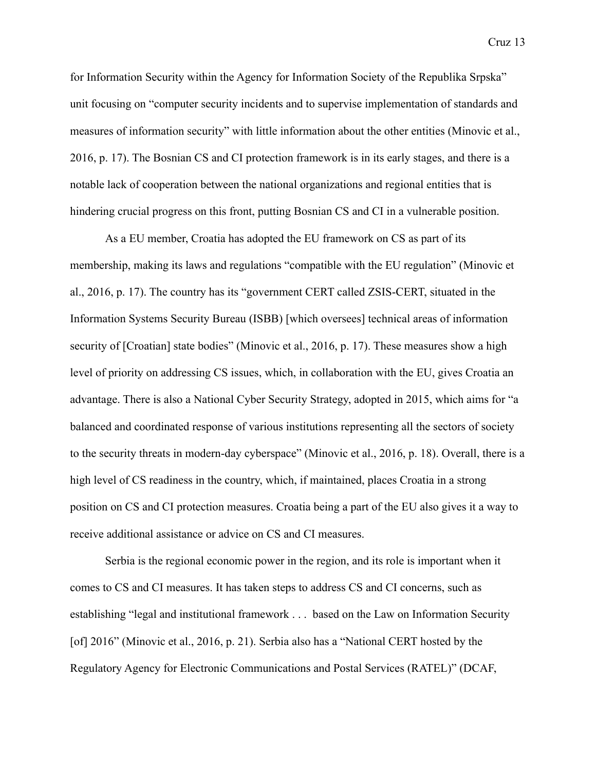for Information Security within the Agency for Information Society of the Republika Srpska" unit focusing on "computer security incidents and to supervise implementation of standards and measures of information security" with little information about the other entities (Minovic et al., 2016, p. 17). The Bosnian CS and CI protection framework is in its early stages, and there is a notable lack of cooperation between the national organizations and regional entities that is hindering crucial progress on this front, putting Bosnian CS and CI in a vulnerable position.

As a EU member, Croatia has adopted the EU framework on CS as part of its membership, making its laws and regulations "compatible with the EU regulation" (Minovic et al., 2016, p. 17). The country has its "government CERT called ZSIS-CERT, situated in the Information Systems Security Bureau (ISBB) [which oversees] technical areas of information security of [Croatian] state bodies" (Minovic et al., 2016, p. 17). These measures show a high level of priority on addressing CS issues, which, in collaboration with the EU, gives Croatia an advantage. There is also a National Cyber Security Strategy, adopted in 2015, which aims for "a balanced and coordinated response of various institutions representing all the sectors of society to the security threats in modern-day cyberspace" (Minovic et al., 2016, p. 18). Overall, there is a high level of CS readiness in the country, which, if maintained, places Croatia in a strong position on CS and CI protection measures. Croatia being a part of the EU also gives it a way to receive additional assistance or advice on CS and CI measures.

Serbia is the regional economic power in the region, and its role is important when it comes to CS and CI measures. It has taken steps to address CS and CI concerns, such as establishing "legal and institutional framework . . . based on the Law on Information Security [of] 2016" (Minovic et al., 2016, p. 21). Serbia also has a "National CERT hosted by the Regulatory Agency for Electronic Communications and Postal Services (RATEL)" (DCAF,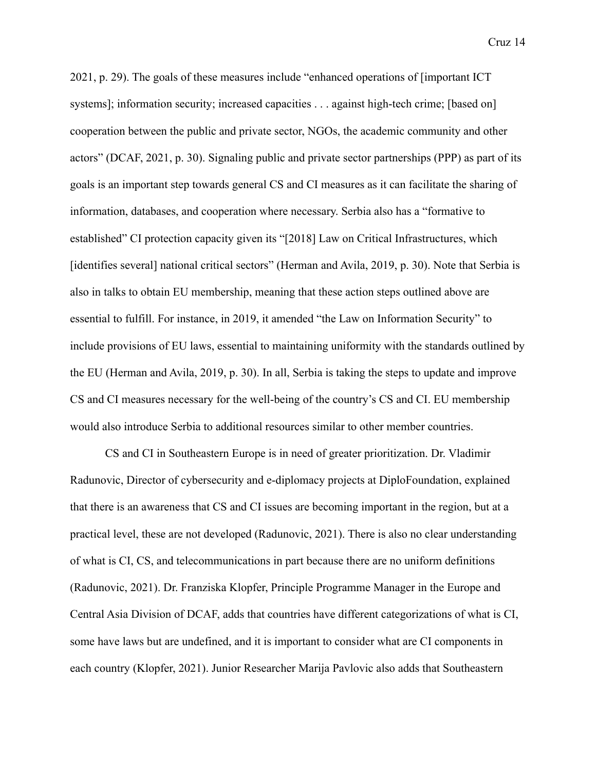2021, p. 29). The goals of these measures include "enhanced operations of [important ICT systems]; information security; increased capacities . . . against high-tech crime; [based on] cooperation between the public and private sector, NGOs, the academic community and other actors" (DCAF, 2021, p. 30). Signaling public and private sector partnerships (PPP) as part of its goals is an important step towards general CS and CI measures as it can facilitate the sharing of information, databases, and cooperation where necessary. Serbia also has a "formative to established" CI protection capacity given its "[2018] Law on Critical Infrastructures, which [identifies several] national critical sectors" (Herman and Avila, 2019, p. 30). Note that Serbia is also in talks to obtain EU membership, meaning that these action steps outlined above are essential to fulfill. For instance, in 2019, it amended "the Law on Information Security" to include provisions of EU laws, essential to maintaining uniformity with the standards outlined by the EU (Herman and Avila, 2019, p. 30). In all, Serbia is taking the steps to update and improve CS and CI measures necessary for the well-being of the country's CS and CI. EU membership would also introduce Serbia to additional resources similar to other member countries.

CS and CI in Southeastern Europe is in need of greater prioritization. Dr. Vladimir Radunovic, Director of cybersecurity and e-diplomacy projects at DiploFoundation, explained that there is an awareness that CS and CI issues are becoming important in the region, but at a practical level, these are not developed (Radunovic, 2021). There is also no clear understanding of what is CI, CS, and telecommunications in part because there are no uniform definitions (Radunovic, 2021). Dr. Franziska Klopfer, Principle Programme Manager in the Europe and Central Asia Division of DCAF, adds that countries have different categorizations of what is CI, some have laws but are undefined, and it is important to consider what are CI components in each country (Klopfer, 2021). Junior Researcher Marija Pavlovic also adds that Southeastern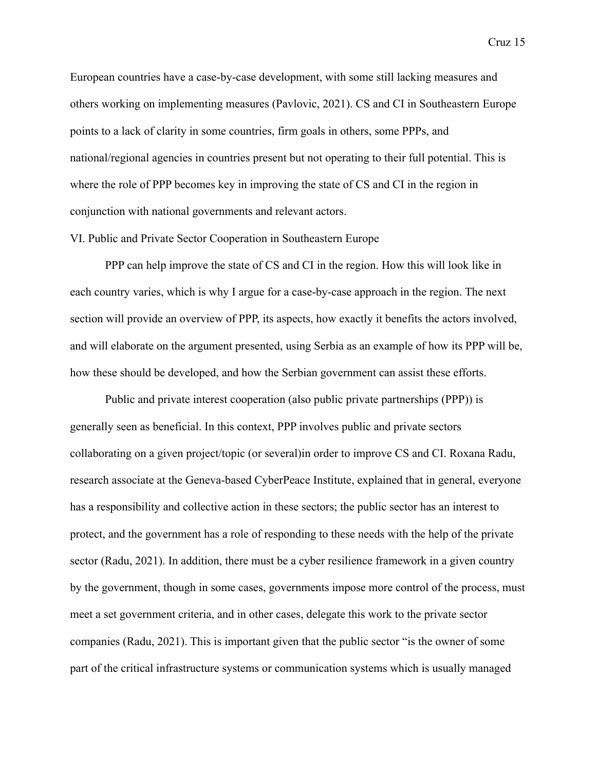European countries have a case-by-case development, with some still lacking measures and others working on implementing measures (Pavlovic, 2021). CS and CI in Southeastern Europe points to a lack of clarity in some countries, firm goals in others, some PPPs, and national/regional agencies in countries present but not operating to their full potential. This is where the role of PPP becomes key in improving the state of CS and CI in the region in conjunction with national governments and relevant actors.

#### VI. Public and Private Sector Cooperation in Southeastern Europe

PPP can help improve the state of CS and CI in the region. How this will look like in each country varies, which is why I argue for a case-by-case approach in the region. The next section will provide an overview of PPP, its aspects, how exactly it benefits the actors involved, and will elaborate on the argument presented, using Serbia as an example of how its PPP will be, how these should be developed, and how the Serbian government can assist these efforts.

Public and private interest cooperation (also public private partnerships (PPP)) is generally seen as beneficial. In this context, PPP involves public and private sectors collaborating on a given project/topic (or several)in order to improve CS and CI. Roxana Radu, research associate at the Geneva-based CyberPeace Institute, explained that in general, everyone has a responsibility and collective action in these sectors; the public sector has an interest to protect, and the government has a role of responding to these needs with the help of the private sector (Radu, 2021). In addition, there must be a cyber resilience framework in a given country by the government, though in some cases, governments impose more control of the process, must meet a set government criteria, and in other cases, delegate this work to the private sector companies (Radu, 2021). This is important given that the public sector "is the owner of some part of the critical infrastructure systems or communication systems which is usually managed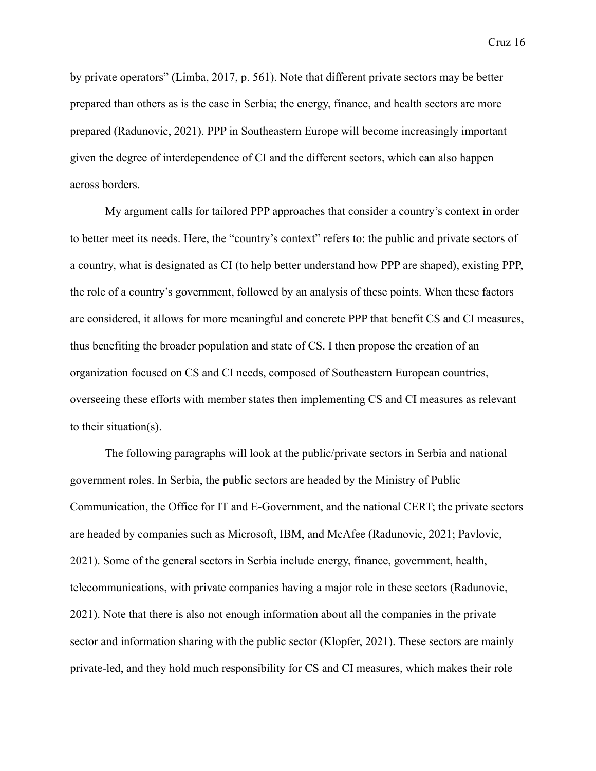by private operators" (Limba, 2017, p. 561). Note that different private sectors may be better prepared than others as is the case in Serbia; the energy, finance, and health sectors are more prepared (Radunovic, 2021). PPP in Southeastern Europe will become increasingly important given the degree of interdependence of CI and the different sectors, which can also happen across borders.

My argument calls for tailored PPP approaches that consider a country's context in order to better meet its needs. Here, the "country's context" refers to: the public and private sectors of a country, what is designated as CI (to help better understand how PPP are shaped), existing PPP, the role of a country's government, followed by an analysis of these points. When these factors are considered, it allows for more meaningful and concrete PPP that benefit CS and CI measures, thus benefiting the broader population and state of CS. I then propose the creation of an organization focused on CS and CI needs, composed of Southeastern European countries, overseeing these efforts with member states then implementing CS and CI measures as relevant to their situation(s).

The following paragraphs will look at the public/private sectors in Serbia and national government roles. In Serbia, the public sectors are headed by the Ministry of Public Communication, the Office for IT and E-Government, and the national CERT; the private sectors are headed by companies such as Microsoft, IBM, and McAfee (Radunovic, 2021; Pavlovic, 2021). Some of the general sectors in Serbia include energy, finance, government, health, telecommunications, with private companies having a major role in these sectors (Radunovic, 2021). Note that there is also not enough information about all the companies in the private sector and information sharing with the public sector (Klopfer, 2021). These sectors are mainly private-led, and they hold much responsibility for CS and CI measures, which makes their role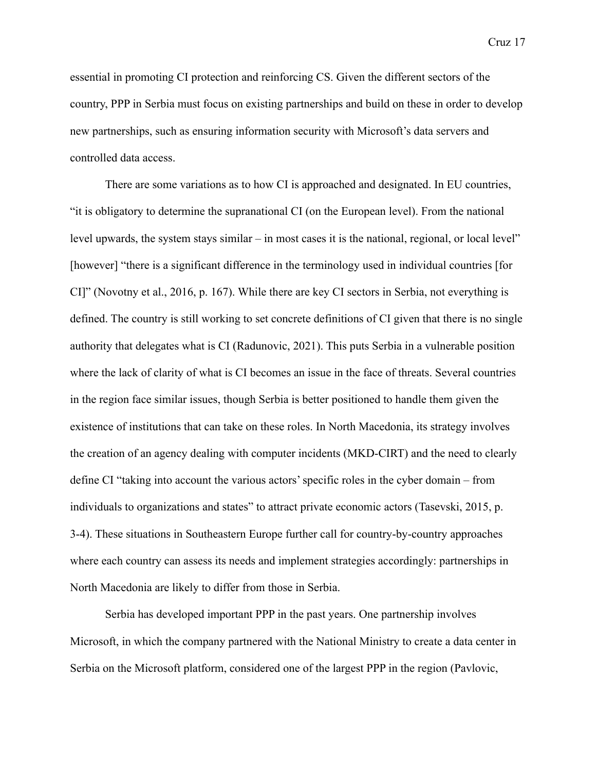essential in promoting CI protection and reinforcing CS. Given the different sectors of the country, PPP in Serbia must focus on existing partnerships and build on these in order to develop new partnerships, such as ensuring information security with Microsoft's data servers and controlled data access.

There are some variations as to how CI is approached and designated. In EU countries, "it is obligatory to determine the supranational CI (on the European level). From the national level upwards, the system stays similar – in most cases it is the national, regional, or local level" [however] "there is a significant difference in the terminology used in individual countries [for CI]" (Novotny et al., 2016, p. 167). While there are key CI sectors in Serbia, not everything is defined. The country is still working to set concrete definitions of CI given that there is no single authority that delegates what is CI (Radunovic, 2021). This puts Serbia in a vulnerable position where the lack of clarity of what is CI becomes an issue in the face of threats. Several countries in the region face similar issues, though Serbia is better positioned to handle them given the existence of institutions that can take on these roles. In North Macedonia, its strategy involves the creation of an agency dealing with computer incidents (MKD-CIRT) and the need to clearly define CI "taking into account the various actors' specific roles in the cyber domain – from individuals to organizations and states" to attract private economic actors (Tasevski, 2015, p. 3-4). These situations in Southeastern Europe further call for country-by-country approaches where each country can assess its needs and implement strategies accordingly: partnerships in North Macedonia are likely to differ from those in Serbia.

Serbia has developed important PPP in the past years. One partnership involves Microsoft, in which the company partnered with the National Ministry to create a data center in Serbia on the Microsoft platform, considered one of the largest PPP in the region (Pavlovic,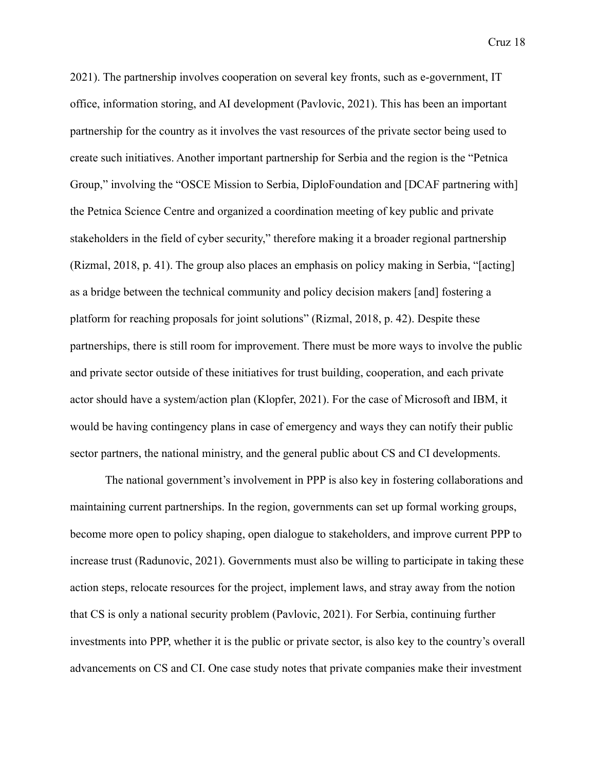2021). The partnership involves cooperation on several key fronts, such as e-government, IT office, information storing, and AI development (Pavlovic, 2021). This has been an important partnership for the country as it involves the vast resources of the private sector being used to create such initiatives. Another important partnership for Serbia and the region is the "Petnica Group," involving the "OSCE Mission to Serbia, DiploFoundation and [DCAF partnering with] the Petnica Science Centre and organized a coordination meeting of key public and private stakeholders in the field of cyber security," therefore making it a broader regional partnership (Rizmal, 2018, p. 41). The group also places an emphasis on policy making in Serbia, "[acting] as a bridge between the technical community and policy decision makers [and] fostering a platform for reaching proposals for joint solutions" (Rizmal, 2018, p. 42). Despite these partnerships, there is still room for improvement. There must be more ways to involve the public and private sector outside of these initiatives for trust building, cooperation, and each private actor should have a system/action plan (Klopfer, 2021). For the case of Microsoft and IBM, it would be having contingency plans in case of emergency and ways they can notify their public sector partners, the national ministry, and the general public about CS and CI developments.

The national government's involvement in PPP is also key in fostering collaborations and maintaining current partnerships. In the region, governments can set up formal working groups, become more open to policy shaping, open dialogue to stakeholders, and improve current PPP to increase trust (Radunovic, 2021). Governments must also be willing to participate in taking these action steps, relocate resources for the project, implement laws, and stray away from the notion that CS is only a national security problem (Pavlovic, 2021). For Serbia, continuing further investments into PPP, whether it is the public or private sector, is also key to the country's overall advancements on CS and CI. One case study notes that private companies make their investment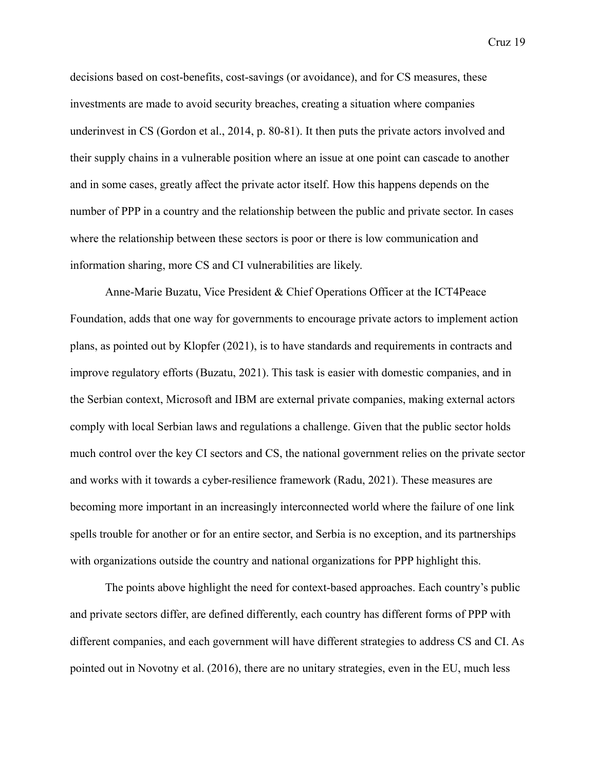decisions based on cost-benefits, cost-savings (or avoidance), and for CS measures, these investments are made to avoid security breaches, creating a situation where companies underinvest in CS (Gordon et al., 2014, p. 80-81). It then puts the private actors involved and their supply chains in a vulnerable position where an issue at one point can cascade to another and in some cases, greatly affect the private actor itself. How this happens depends on the number of PPP in a country and the relationship between the public and private sector. In cases where the relationship between these sectors is poor or there is low communication and information sharing, more CS and CI vulnerabilities are likely.

Anne-Marie Buzatu, Vice President & Chief Operations Officer at the ICT4Peace Foundation, adds that one way for governments to encourage private actors to implement action plans, as pointed out by Klopfer (2021), is to have standards and requirements in contracts and improve regulatory efforts (Buzatu, 2021). This task is easier with domestic companies, and in the Serbian context, Microsoft and IBM are external private companies, making external actors comply with local Serbian laws and regulations a challenge. Given that the public sector holds much control over the key CI sectors and CS, the national government relies on the private sector and works with it towards a cyber-resilience framework (Radu, 2021). These measures are becoming more important in an increasingly interconnected world where the failure of one link spells trouble for another or for an entire sector, and Serbia is no exception, and its partnerships with organizations outside the country and national organizations for PPP highlight this.

The points above highlight the need for context-based approaches. Each country's public and private sectors differ, are defined differently, each country has different forms of PPP with different companies, and each government will have different strategies to address CS and CI. As pointed out in Novotny et al. (2016), there are no unitary strategies, even in the EU, much less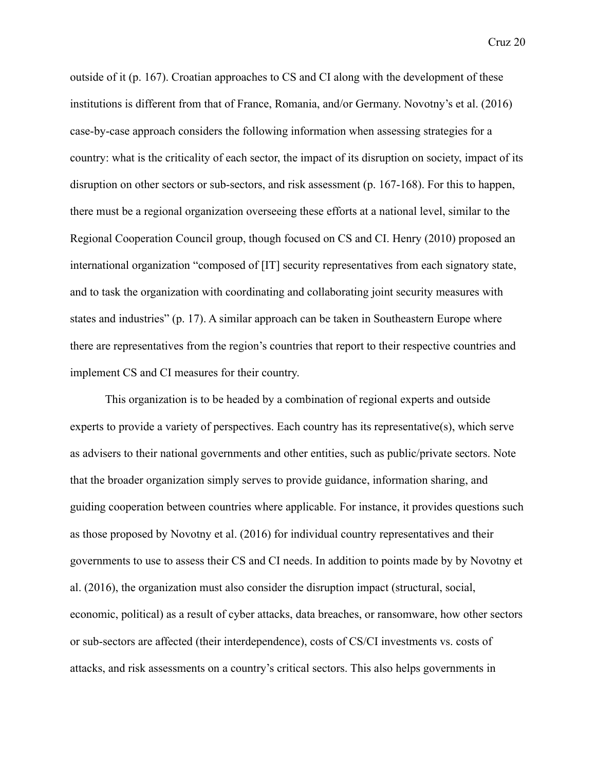outside of it (p. 167). Croatian approaches to CS and CI along with the development of these institutions is different from that of France, Romania, and/or Germany. Novotny's et al. (2016) case-by-case approach considers the following information when assessing strategies for a country: what is the criticality of each sector, the impact of its disruption on society, impact of its disruption on other sectors or sub-sectors, and risk assessment (p. 167-168). For this to happen, there must be a regional organization overseeing these efforts at a national level, similar to the Regional Cooperation Council group, though focused on CS and CI. Henry (2010) proposed an international organization "composed of [IT] security representatives from each signatory state, and to task the organization with coordinating and collaborating joint security measures with states and industries" (p. 17). A similar approach can be taken in Southeastern Europe where there are representatives from the region's countries that report to their respective countries and implement CS and CI measures for their country.

This organization is to be headed by a combination of regional experts and outside experts to provide a variety of perspectives. Each country has its representative(s), which serve as advisers to their national governments and other entities, such as public/private sectors. Note that the broader organization simply serves to provide guidance, information sharing, and guiding cooperation between countries where applicable. For instance, it provides questions such as those proposed by Novotny et al. (2016) for individual country representatives and their governments to use to assess their CS and CI needs. In addition to points made by by Novotny et al. (2016), the organization must also consider the disruption impact (structural, social, economic, political) as a result of cyber attacks, data breaches, or ransomware, how other sectors or sub-sectors are affected (their interdependence), costs of CS/CI investments vs. costs of attacks, and risk assessments on a country's critical sectors. This also helps governments in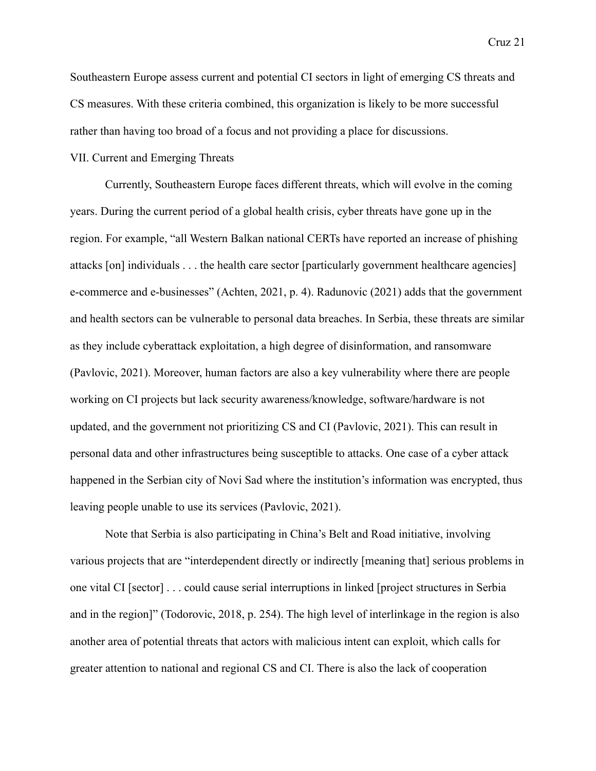Southeastern Europe assess current and potential CI sectors in light of emerging CS threats and CS measures. With these criteria combined, this organization is likely to be more successful rather than having too broad of a focus and not providing a place for discussions.

#### VII. Current and Emerging Threats

Currently, Southeastern Europe faces different threats, which will evolve in the coming years. During the current period of a global health crisis, cyber threats have gone up in the region. For example, "all Western Balkan national CERTs have reported an increase of phishing attacks [on] individuals . . . the health care sector [particularly government healthcare agencies] e-commerce and e-businesses" (Achten, 2021, p. 4). Radunovic (2021) adds that the government and health sectors can be vulnerable to personal data breaches. In Serbia, these threats are similar as they include cyberattack exploitation, a high degree of disinformation, and ransomware (Pavlovic, 2021). Moreover, human factors are also a key vulnerability where there are people working on CI projects but lack security awareness/knowledge, software/hardware is not updated, and the government not prioritizing CS and CI (Pavlovic, 2021). This can result in personal data and other infrastructures being susceptible to attacks. One case of a cyber attack happened in the Serbian city of Novi Sad where the institution's information was encrypted, thus leaving people unable to use its services (Pavlovic, 2021).

Note that Serbia is also participating in China's Belt and Road initiative, involving various projects that are "interdependent directly or indirectly [meaning that] serious problems in one vital CI [sector] . . . could cause serial interruptions in linked [project structures in Serbia and in the region]" (Todorovic, 2018, p. 254). The high level of interlinkage in the region is also another area of potential threats that actors with malicious intent can exploit, which calls for greater attention to national and regional CS and CI. There is also the lack of cooperation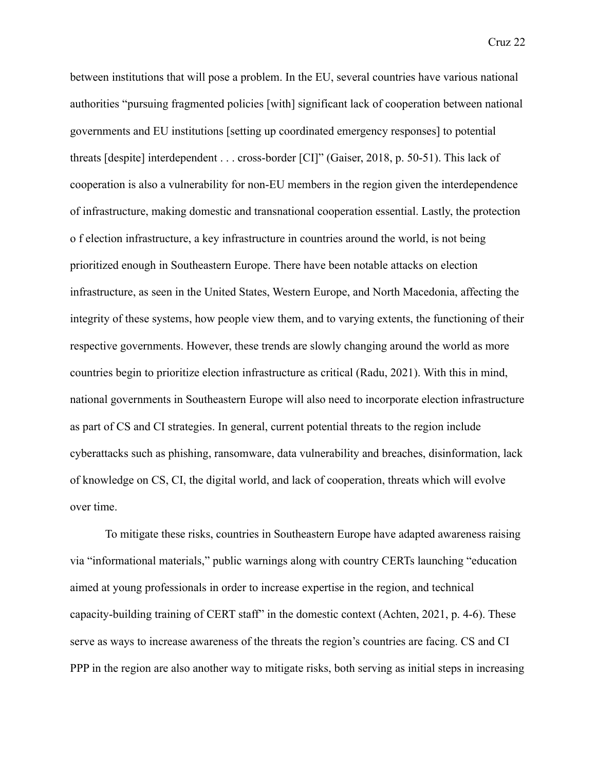between institutions that will pose a problem. In the EU, several countries have various national authorities "pursuing fragmented policies [with] significant lack of cooperation between national governments and EU institutions [setting up coordinated emergency responses] to potential threats [despite] interdependent . . . cross-border [CI]" (Gaiser, 2018, p. 50-51). This lack of cooperation is also a vulnerability for non-EU members in the region given the interdependence of infrastructure, making domestic and transnational cooperation essential. Lastly, the protection o f election infrastructure, a key infrastructure in countries around the world, is not being prioritized enough in Southeastern Europe. There have been notable attacks on election infrastructure, as seen in the United States, Western Europe, and North Macedonia, affecting the integrity of these systems, how people view them, and to varying extents, the functioning of their respective governments. However, these trends are slowly changing around the world as more countries begin to prioritize election infrastructure as critical (Radu, 2021). With this in mind, national governments in Southeastern Europe will also need to incorporate election infrastructure as part of CS and CI strategies. In general, current potential threats to the region include cyberattacks such as phishing, ransomware, data vulnerability and breaches, disinformation, lack of knowledge on CS, CI, the digital world, and lack of cooperation, threats which will evolve over time.

To mitigate these risks, countries in Southeastern Europe have adapted awareness raising via "informational materials," public warnings along with country CERTs launching "education aimed at young professionals in order to increase expertise in the region, and technical capacity-building training of CERT staff" in the domestic context (Achten, 2021, p. 4-6). These serve as ways to increase awareness of the threats the region's countries are facing. CS and CI PPP in the region are also another way to mitigate risks, both serving as initial steps in increasing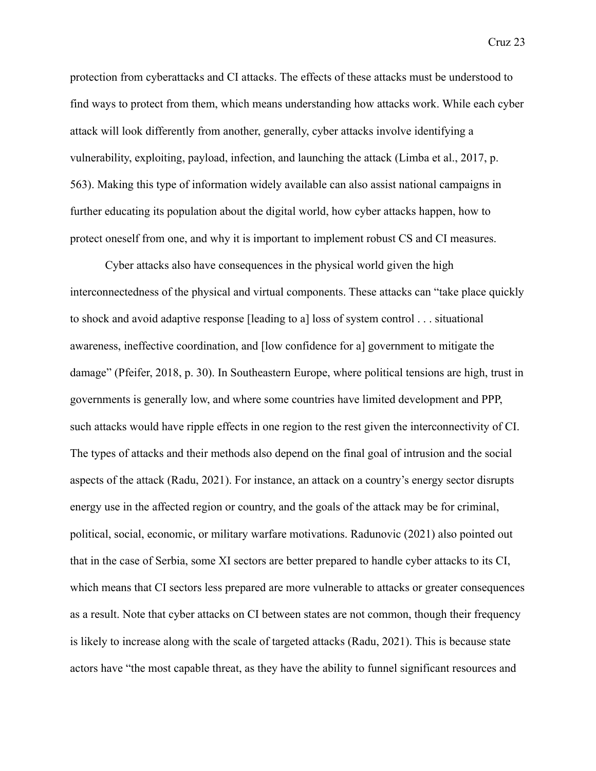protection from cyberattacks and CI attacks. The effects of these attacks must be understood to find ways to protect from them, which means understanding how attacks work. While each cyber attack will look differently from another, generally, cyber attacks involve identifying a vulnerability, exploiting, payload, infection, and launching the attack (Limba et al., 2017, p. 563). Making this type of information widely available can also assist national campaigns in further educating its population about the digital world, how cyber attacks happen, how to protect oneself from one, and why it is important to implement robust CS and CI measures.

Cyber attacks also have consequences in the physical world given the high interconnectedness of the physical and virtual components. These attacks can "take place quickly to shock and avoid adaptive response [leading to a] loss of system control . . . situational awareness, ineffective coordination, and [low confidence for a] government to mitigate the damage" (Pfeifer, 2018, p. 30). In Southeastern Europe, where political tensions are high, trust in governments is generally low, and where some countries have limited development and PPP, such attacks would have ripple effects in one region to the rest given the interconnectivity of CI. The types of attacks and their methods also depend on the final goal of intrusion and the social aspects of the attack (Radu, 2021). For instance, an attack on a country's energy sector disrupts energy use in the affected region or country, and the goals of the attack may be for criminal, political, social, economic, or military warfare motivations. Radunovic (2021) also pointed out that in the case of Serbia, some XI sectors are better prepared to handle cyber attacks to its CI, which means that CI sectors less prepared are more vulnerable to attacks or greater consequences as a result. Note that cyber attacks on CI between states are not common, though their frequency is likely to increase along with the scale of targeted attacks (Radu, 2021). This is because state actors have "the most capable threat, as they have the ability to funnel significant resources and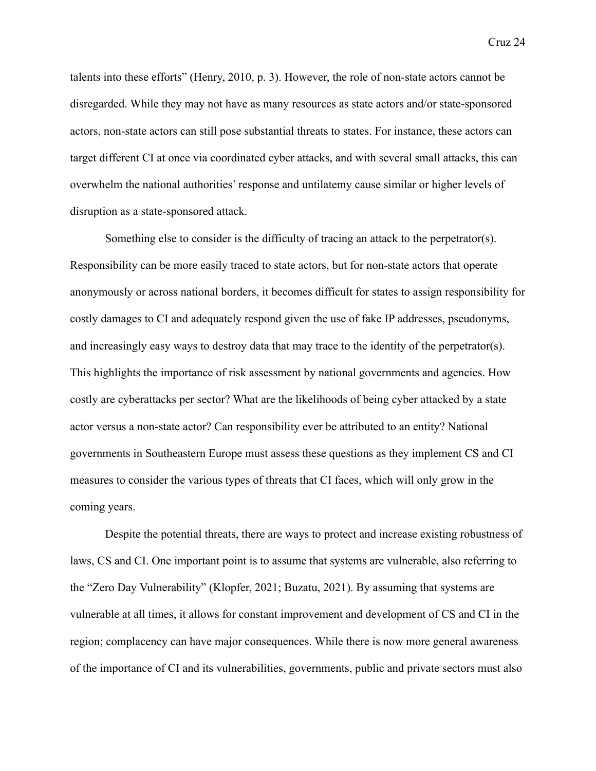talents into these efforts" (Henry, 2010, p. 3). However, the role of non-state actors cannot be disregarded. While they may not have as many resources as state actors and/or state-sponsored actors, non-state actors can still pose substantial threats to states. For instance, these actors can target different CI at once via coordinated cyber attacks, and with several small attacks, this can overwhelm the national authorities' response and untilatemy cause similar or higher levels of disruption as a state-sponsored attack.

Something else to consider is the difficulty of tracing an attack to the perpetrator(s). Responsibility can be more easily traced to state actors, but for non-state actors that operate anonymously or across national borders, it becomes difficult for states to assign responsibility for costly damages to CI and adequately respond given the use of fake IP addresses, pseudonyms, and increasingly easy ways to destroy data that may trace to the identity of the perpetrator(s). This highlights the importance of risk assessment by national governments and agencies. How costly are cyberattacks per sector? What are the likelihoods of being cyber attacked by a state actor versus a non-state actor? Can responsibility ever be attributed to an entity? National governments in Southeastern Europe must assess these questions as they implement CS and CI measures to consider the various types of threats that CI faces, which will only grow in the coming years.

Despite the potential threats, there are ways to protect and increase existing robustness of laws, CS and CI. One important point is to assume that systems are vulnerable, also referring to the "Zero Day Vulnerability" (Klopfer, 2021; Buzatu, 2021). By assuming that systems are vulnerable at all times, it allows for constant improvement and development of CS and CI in the region; complacency can have major consequences. While there is now more general awareness of the importance of CI and its vulnerabilities, governments, public and private sectors must also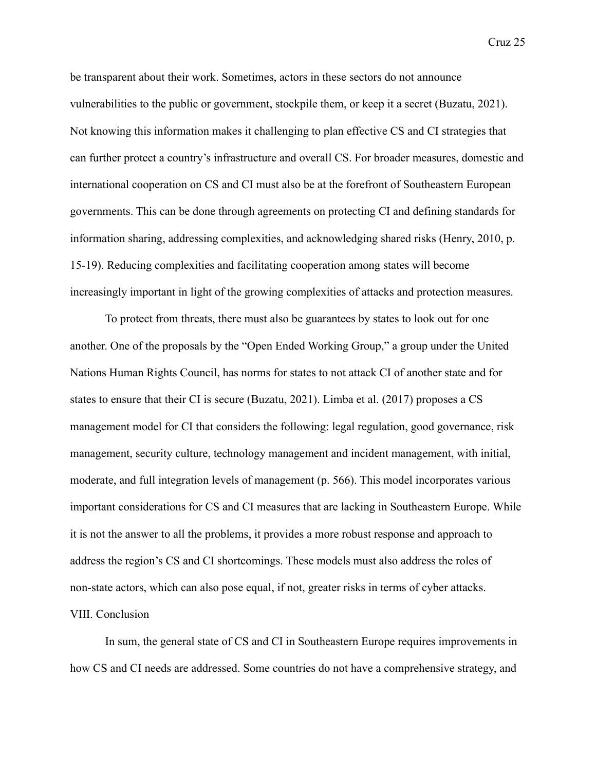be transparent about their work. Sometimes, actors in these sectors do not announce vulnerabilities to the public or government, stockpile them, or keep it a secret (Buzatu, 2021). Not knowing this information makes it challenging to plan effective CS and CI strategies that can further protect a country's infrastructure and overall CS. For broader measures, domestic and international cooperation on CS and CI must also be at the forefront of Southeastern European governments. This can be done through agreements on protecting CI and defining standards for information sharing, addressing complexities, and acknowledging shared risks (Henry, 2010, p. 15-19). Reducing complexities and facilitating cooperation among states will become increasingly important in light of the growing complexities of attacks and protection measures.

To protect from threats, there must also be guarantees by states to look out for one another. One of the proposals by the "Open Ended Working Group," a group under the United Nations Human Rights Council, has norms for states to not attack CI of another state and for states to ensure that their CI is secure (Buzatu, 2021). Limba et al. (2017) proposes a CS management model for CI that considers the following: legal regulation, good governance, risk management, security culture, technology management and incident management, with initial, moderate, and full integration levels of management (p. 566). This model incorporates various important considerations for CS and CI measures that are lacking in Southeastern Europe. While it is not the answer to all the problems, it provides a more robust response and approach to address the region's CS and CI shortcomings. These models must also address the roles of non-state actors, which can also pose equal, if not, greater risks in terms of cyber attacks. VIII. Conclusion

In sum, the general state of CS and CI in Southeastern Europe requires improvements in how CS and CI needs are addressed. Some countries do not have a comprehensive strategy, and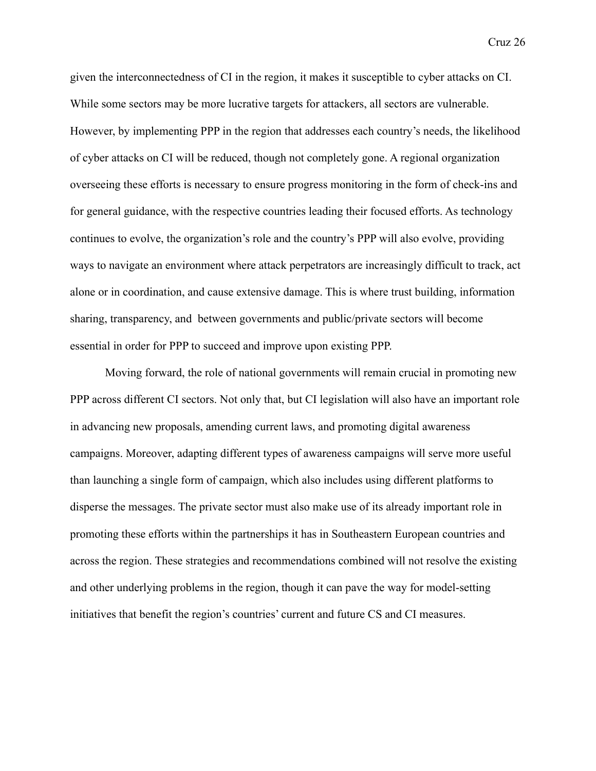given the interconnectedness of CI in the region, it makes it susceptible to cyber attacks on CI. While some sectors may be more lucrative targets for attackers, all sectors are vulnerable. However, by implementing PPP in the region that addresses each country's needs, the likelihood of cyber attacks on CI will be reduced, though not completely gone. A regional organization overseeing these efforts is necessary to ensure progress monitoring in the form of check-ins and for general guidance, with the respective countries leading their focused efforts. As technology continues to evolve, the organization's role and the country's PPP will also evolve, providing ways to navigate an environment where attack perpetrators are increasingly difficult to track, act alone or in coordination, and cause extensive damage. This is where trust building, information sharing, transparency, and between governments and public/private sectors will become essential in order for PPP to succeed and improve upon existing PPP.

Moving forward, the role of national governments will remain crucial in promoting new PPP across different CI sectors. Not only that, but CI legislation will also have an important role in advancing new proposals, amending current laws, and promoting digital awareness campaigns. Moreover, adapting different types of awareness campaigns will serve more useful than launching a single form of campaign, which also includes using different platforms to disperse the messages. The private sector must also make use of its already important role in promoting these efforts within the partnerships it has in Southeastern European countries and across the region. These strategies and recommendations combined will not resolve the existing and other underlying problems in the region, though it can pave the way for model-setting initiatives that benefit the region's countries' current and future CS and CI measures.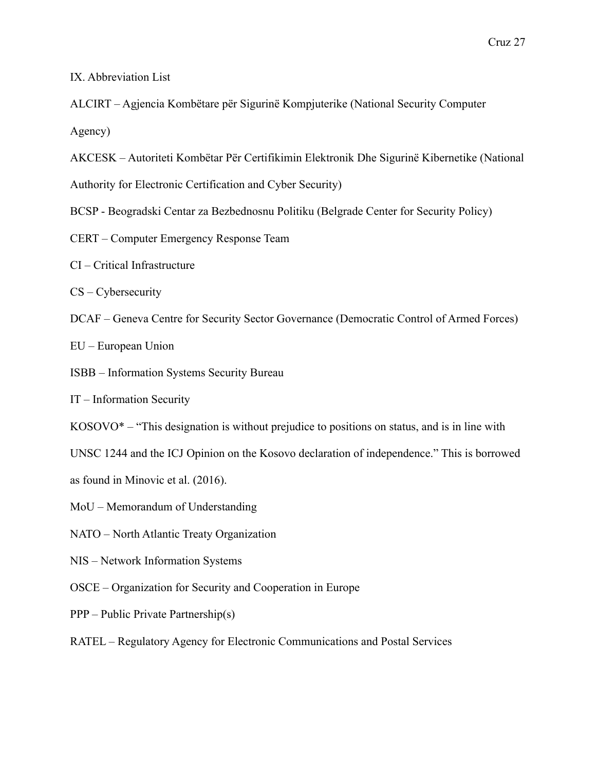IX. Abbreviation List

ALCIRT – Agjencia Kombëtare për Sigurinë Kompjuterike (National Security Computer

Agency)

AKCESK – Autoriteti Kombëtar Për Certifikimin Elektronik Dhe Sigurinë Kibernetike (National

Authority for Electronic Certification and Cyber Security)

- BCSP Beogradski Centar za Bezbednosnu Politiku (Belgrade Center for Security Policy)
- CERT Computer Emergency Response Team
- CI Critical Infrastructure
- CS Cybersecurity
- DCAF Geneva Centre for Security Sector Governance (Democratic Control of Armed Forces)

EU – European Union

ISBB – Information Systems Security Bureau

IT – Information Security

- $KOSOVO^*$  "This designation is without prejudice to positions on status, and is in line with
- UNSC 1244 and the ICJ Opinion on the Kosovo declaration of independence." This is borrowed

as found in Minovic et al. (2016).

- MoU Memorandum of Understanding
- NATO North Atlantic Treaty Organization
- NIS Network Information Systems
- OSCE Organization for Security and Cooperation in Europe
- PPP Public Private Partnership(s)

RATEL – Regulatory Agency for Electronic Communications and Postal Services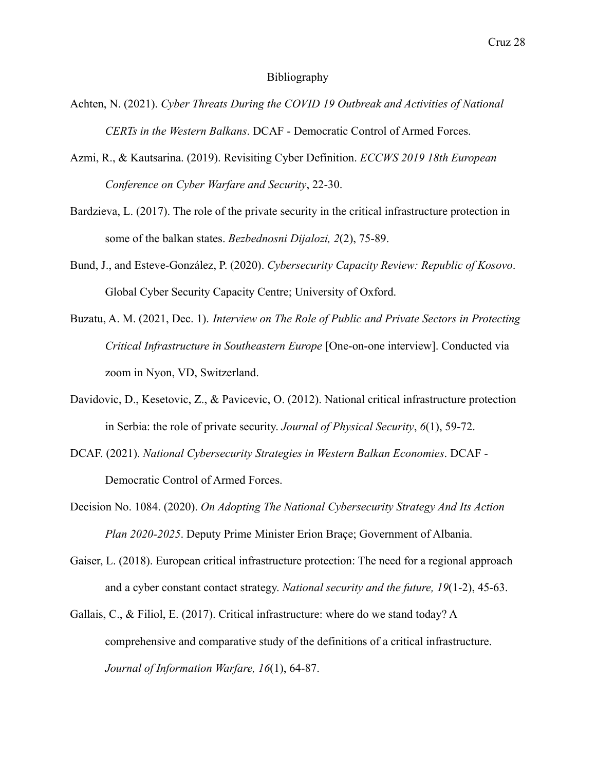#### Bibliography

- Achten, N. (2021). *Cyber Threats During the COVID 19 Outbreak and Activities of National CERTs in the Western Balkans*. DCAF - Democratic Control of Armed Forces.
- Azmi, R., & Kautsarina. (2019). Revisiting Cyber Definition. *ECCWS 2019 18th European Conference on Cyber Warfare and Security*, 22-30.
- Bardzieva, L. (2017). The role of the private security in the critical infrastructure protection in some of the balkan states. *Bezbednosni Dijalozi, 2*(2), 75-89.
- Bund, J., and Esteve-González, P. (2020). *Cybersecurity Capacity Review: Republic of Kosovo*. Global Cyber Security Capacity Centre; University of Oxford.
- Buzatu, A. M. (2021, Dec. 1). *Interview on The Role of Public and Private Sectors in Protecting Critical Infrastructure in Southeastern Europe* [One-on-one interview]. Conducted via zoom in Nyon, VD, Switzerland.
- Davidovic, D., Kesetovic, Z., & Pavicevic, O. (2012). National critical infrastructure protection in Serbia: the role of private security. *Journal of Physical Security*, *6*(1), 59-72.
- DCAF. (2021). *National Cybersecurity Strategies in Western Balkan Economies*. DCAF Democratic Control of Armed Forces.
- Decision No. 1084. (2020). *On Adopting The National Cybersecurity Strategy And Its Action Plan 2020-2025*. Deputy Prime Minister Erion Braçe; Government of Albania.
- Gaiser, L. (2018). European critical infrastructure protection: The need for a regional approach and a cyber constant contact strategy. *National security and the future, 19*(1-2), 45-63.
- Gallais, C., & Filiol, E. (2017). Critical infrastructure: where do we stand today? A comprehensive and comparative study of the definitions of a critical infrastructure. *Journal of Information Warfare, 16*(1), 64-87.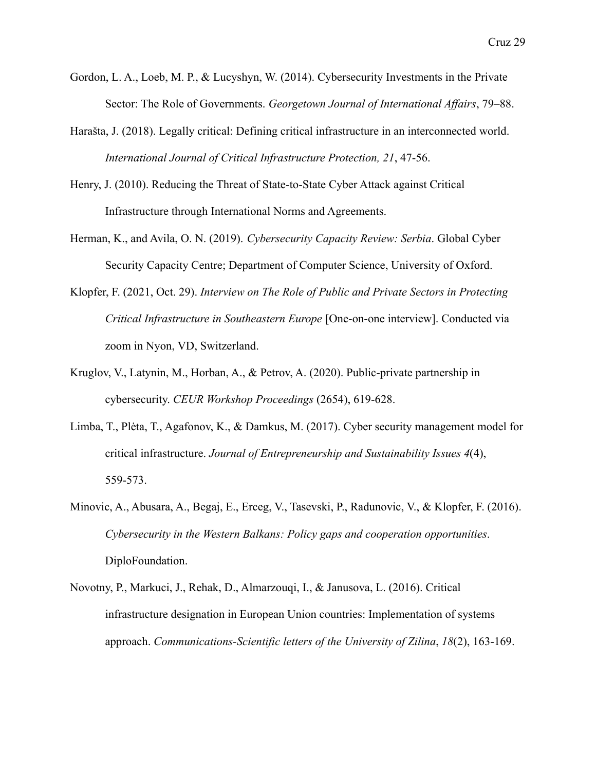- Gordon, L. A., Loeb, M. P., & Lucyshyn, W. (2014). Cybersecurity Investments in the Private Sector: The Role of Governments. *Georgetown Journal of International Affairs*, 79–88.
- Harašta, J. (2018). Legally critical: Defining critical infrastructure in an interconnected world. *International Journal of Critical Infrastructure Protection, 21*, 47-56.
- Henry, J. (2010). Reducing the Threat of State-to-State Cyber Attack against Critical Infrastructure through International Norms and Agreements.
- Herman, K., and Avila, O. N. (2019). *Cybersecurity Capacity Review: Serbia*. Global Cyber Security Capacity Centre; Department of Computer Science, University of Oxford.
- Klopfer, F. (2021, Oct. 29). *Interview on The Role of Public and Private Sectors in Protecting Critical Infrastructure in Southeastern Europe* [One-on-one interview]. Conducted via zoom in Nyon, VD, Switzerland.
- Kruglov, V., Latynin, M., Horban, A., & Petrov, A. (2020). Public-private partnership in cybersecurity. *CEUR Workshop Proceedings* (2654), 619-628.
- Limba, T., Plėta, T., Agafonov, K., & Damkus, M. (2017). Cyber security management model for critical infrastructure. *Journal of Entrepreneurship and Sustainability Issues 4*(4), 559-573.
- Minovic, A., Abusara, A., Begaj, E., Erceg, V., Tasevski, P., Radunovic, V., & Klopfer, F. (2016). *Cybersecurity in the Western Balkans: Policy gaps and cooperation opportunities*. DiploFoundation.
- Novotny, P., Markuci, J., Rehak, D., Almarzouqi, I., & Janusova, L. (2016). Critical infrastructure designation in European Union countries: Implementation of systems approach. *Communications-Scientific letters of the University of Zilina*, *18*(2), 163-169.